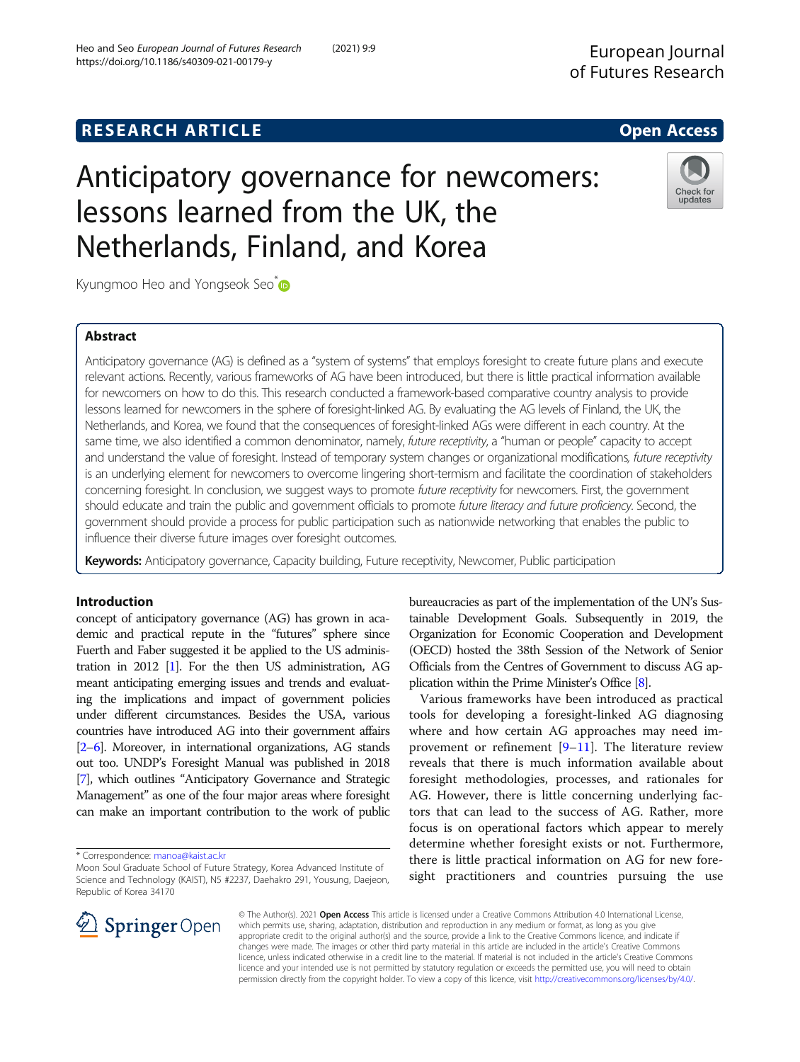# Anticipatory governance for newcomers: lessons learned from the UK, the Netherlands, Finland, and Korea

Kyungmoo Heo and Yongseok Seo<sup>[\\*](http://orcid.org/0000-0003-2569-841X)</sup>

# Abstract

Anticipatory governance (AG) is defined as a "system of systems" that employs foresight to create future plans and execute relevant actions. Recently, various frameworks of AG have been introduced, but there is little practical information available for newcomers on how to do this. This research conducted a framework-based comparative country analysis to provide lessons learned for newcomers in the sphere of foresight-linked AG. By evaluating the AG levels of Finland, the UK, the Netherlands, and Korea, we found that the consequences of foresight-linked AGs were different in each country. At the same time, we also identified a common denominator, namely, future receptivity, a "human or people" capacity to accept and understand the value of foresight. Instead of temporary system changes or organizational modifications, future receptivity is an underlying element for newcomers to overcome lingering short-termism and facilitate the coordination of stakeholders concerning foresight. In conclusion, we suggest ways to promote future receptivity for newcomers. First, the government should educate and train the public and government officials to promote future literacy and future proficiency. Second, the government should provide a process for public participation such as nationwide networking that enables the public to influence their diverse future images over foresight outcomes.

Keywords: Anticipatory governance, Capacity building, Future receptivity, Newcomer, Public participation

# Introduction

concept of anticipatory governance (AG) has grown in academic and practical repute in the "futures" sphere since Fuerth and Faber suggested it be applied to the US administration in 2012 [\[1\]](#page-11-0). For the then US administration, AG meant anticipating emerging issues and trends and evaluating the implications and impact of government policies under different circumstances. Besides the USA, various countries have introduced AG into their government affairs [[2](#page-11-0)–[6](#page-11-0)]. Moreover, in international organizations, AG stands out too. UNDP's Foresight Manual was published in 2018 [[7](#page-11-0)], which outlines "Anticipatory Governance and Strategic Management" as one of the four major areas where foresight can make an important contribution to the work of public

\* Correspondence: [manoa@kaist.ac.kr](mailto:manoa@kaist.ac.kr)

bureaucracies as part of the implementation of the UN's Sustainable Development Goals. Subsequently in 2019, the Organization for Economic Cooperation and Development (OECD) hosted the 38th Session of the Network of Senior Officials from the Centres of Government to discuss AG application within the Prime Minister's Office [\[8](#page-11-0)].

Various frameworks have been introduced as practical tools for developing a foresight-linked AG diagnosing where and how certain AG approaches may need improvement or refinement [[9](#page-11-0)–[11\]](#page-11-0). The literature review reveals that there is much information available about foresight methodologies, processes, and rationales for AG. However, there is little concerning underlying factors that can lead to the success of AG. Rather, more focus is on operational factors which appear to merely determine whether foresight exists or not. Furthermore, there is little practical information on AG for new foresight practitioners and countries pursuing the use

© The Author(s). 2021 Open Access This article is licensed under a Creative Commons Attribution 4.0 International License, which permits use, sharing, adaptation, distribution and reproduction in any medium or format, as long as you give appropriate credit to the original author(s) and the source, provide a link to the Creative Commons licence, and indicate if changes were made. The images or other third party material in this article are included in the article's Creative Commons licence, unless indicated otherwise in a credit line to the material. If material is not included in the article's Creative Commons licence and your intended use is not permitted by statutory regulation or exceeds the permitted use, you will need to obtain permission directly from the copyright holder. To view a copy of this licence, visit <http://creativecommons.org/licenses/by/4.0/>.





updates

Moon Soul Graduate School of Future Strategy, Korea Advanced Institute of Science and Technology (KAIST), N5 #2237, Daehakro 291, Yousung, Daejeon, Republic of Korea 34170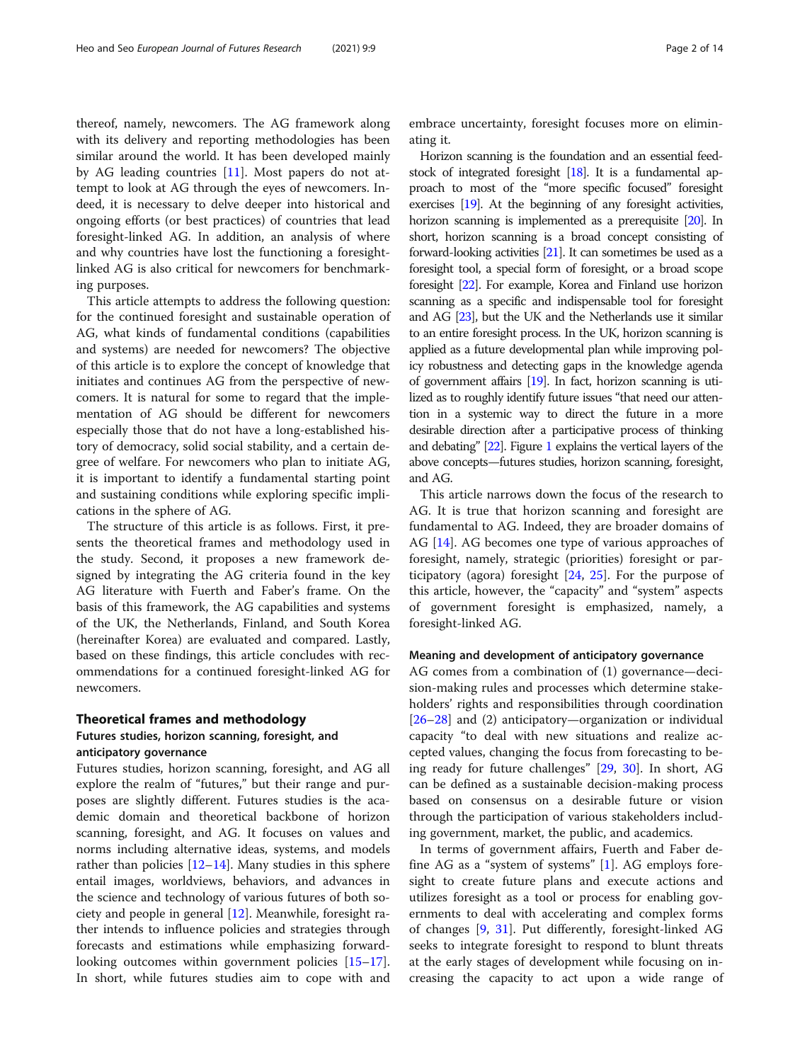thereof, namely, newcomers. The AG framework along with its delivery and reporting methodologies has been similar around the world. It has been developed mainly by AG leading countries [\[11](#page-11-0)]. Most papers do not attempt to look at AG through the eyes of newcomers. Indeed, it is necessary to delve deeper into historical and ongoing efforts (or best practices) of countries that lead foresight-linked AG. In addition, an analysis of where and why countries have lost the functioning a foresightlinked AG is also critical for newcomers for benchmarking purposes.

This article attempts to address the following question: for the continued foresight and sustainable operation of AG, what kinds of fundamental conditions (capabilities and systems) are needed for newcomers? The objective of this article is to explore the concept of knowledge that initiates and continues AG from the perspective of newcomers. It is natural for some to regard that the implementation of AG should be different for newcomers especially those that do not have a long-established history of democracy, solid social stability, and a certain degree of welfare. For newcomers who plan to initiate AG, it is important to identify a fundamental starting point and sustaining conditions while exploring specific implications in the sphere of AG.

The structure of this article is as follows. First, it presents the theoretical frames and methodology used in the study. Second, it proposes a new framework designed by integrating the AG criteria found in the key AG literature with Fuerth and Faber's frame. On the basis of this framework, the AG capabilities and systems of the UK, the Netherlands, Finland, and South Korea (hereinafter Korea) are evaluated and compared. Lastly, based on these findings, this article concludes with recommendations for a continued foresight-linked AG for newcomers.

#### Theoretical frames and methodology

# Futures studies, horizon scanning, foresight, and

# anticipatory governance

Futures studies, horizon scanning, foresight, and AG all explore the realm of "futures," but their range and purposes are slightly different. Futures studies is the academic domain and theoretical backbone of horizon scanning, foresight, and AG. It focuses on values and norms including alternative ideas, systems, and models rather than policies  $[12-14]$  $[12-14]$  $[12-14]$  $[12-14]$  $[12-14]$ . Many studies in this sphere entail images, worldviews, behaviors, and advances in the science and technology of various futures of both society and people in general [[12](#page-11-0)]. Meanwhile, foresight rather intends to influence policies and strategies through forecasts and estimations while emphasizing forward-looking outcomes within government policies [[15](#page-12-0)–[17](#page-12-0)]. In short, while futures studies aim to cope with and embrace uncertainty, foresight focuses more on eliminating it.

Horizon scanning is the foundation and an essential feedstock of integrated foresight [[18\]](#page-12-0). It is a fundamental approach to most of the "more specific focused" foresight exercises [[19\]](#page-12-0). At the beginning of any foresight activities, horizon scanning is implemented as a prerequisite [\[20](#page-12-0)]. In short, horizon scanning is a broad concept consisting of forward-looking activities [\[21](#page-12-0)]. It can sometimes be used as a foresight tool, a special form of foresight, or a broad scope foresight [\[22](#page-12-0)]. For example, Korea and Finland use horizon scanning as a specific and indispensable tool for foresight and AG [\[23\]](#page-12-0), but the UK and the Netherlands use it similar to an entire foresight process. In the UK, horizon scanning is applied as a future developmental plan while improving policy robustness and detecting gaps in the knowledge agenda of government affairs [\[19](#page-12-0)]. In fact, horizon scanning is utilized as to roughly identify future issues "that need our attention in a systemic way to direct the future in a more desirable direction after a participative process of thinking and debating" [\[22](#page-12-0)]. Figure [1](#page-2-0) explains the vertical layers of the above concepts—futures studies, horizon scanning, foresight, and AG.

This article narrows down the focus of the research to AG. It is true that horizon scanning and foresight are fundamental to AG. Indeed, they are broader domains of AG [\[14](#page-11-0)]. AG becomes one type of various approaches of foresight, namely, strategic (priorities) foresight or participatory (agora) foresight [\[24](#page-12-0), [25](#page-12-0)]. For the purpose of this article, however, the "capacity" and "system" aspects of government foresight is emphasized, namely, a foresight-linked AG.

#### Meaning and development of anticipatory governance

AG comes from a combination of (1) governance—decision-making rules and processes which determine stakeholders' rights and responsibilities through coordination [[26](#page-12-0)–[28](#page-12-0)] and (2) anticipatory—organization or individual capacity "to deal with new situations and realize accepted values, changing the focus from forecasting to being ready for future challenges" [\[29](#page-12-0), [30\]](#page-12-0). In short, AG can be defined as a sustainable decision-making process based on consensus on a desirable future or vision through the participation of various stakeholders including government, market, the public, and academics.

In terms of government affairs, Fuerth and Faber define AG as a "system of systems" [[1\]](#page-11-0). AG employs foresight to create future plans and execute actions and utilizes foresight as a tool or process for enabling governments to deal with accelerating and complex forms of changes [\[9](#page-11-0), [31\]](#page-12-0). Put differently, foresight-linked AG seeks to integrate foresight to respond to blunt threats at the early stages of development while focusing on increasing the capacity to act upon a wide range of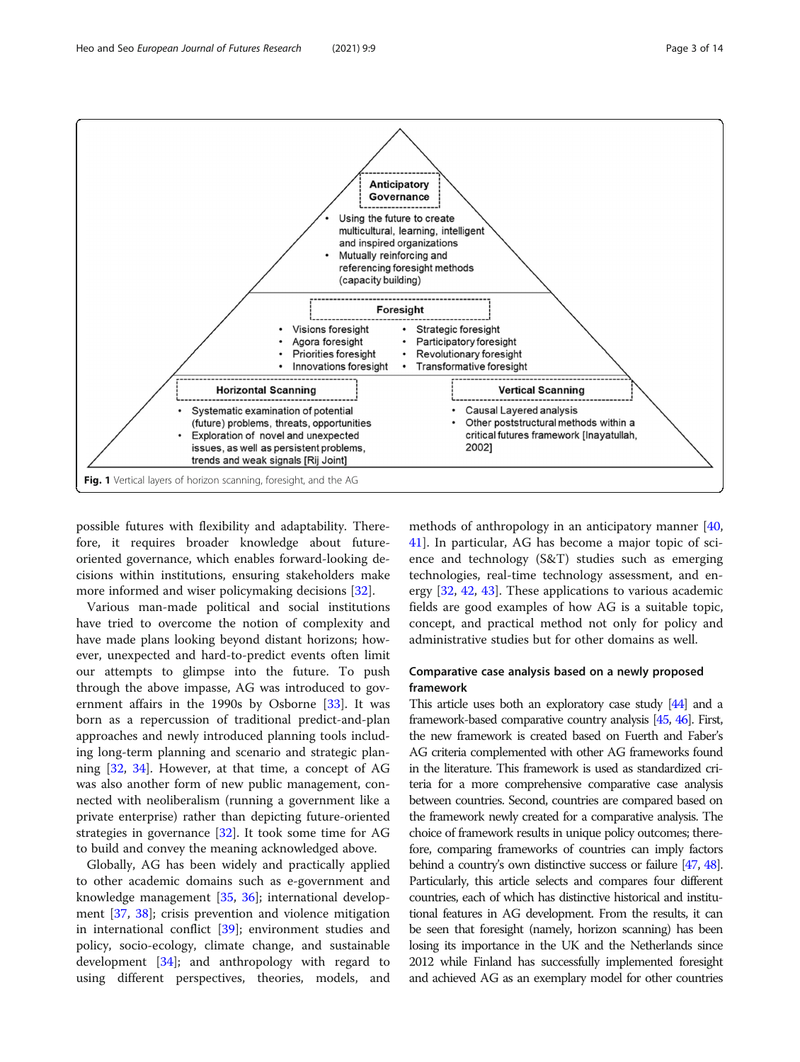<span id="page-2-0"></span>

possible futures with flexibility and adaptability. Therefore, it requires broader knowledge about futureoriented governance, which enables forward-looking decisions within institutions, ensuring stakeholders make more informed and wiser policymaking decisions [\[32](#page-12-0)].

Various man-made political and social institutions have tried to overcome the notion of complexity and have made plans looking beyond distant horizons; however, unexpected and hard-to-predict events often limit our attempts to glimpse into the future. To push through the above impasse, AG was introduced to government affairs in the 1990s by Osborne [[33\]](#page-12-0). It was born as a repercussion of traditional predict-and-plan approaches and newly introduced planning tools including long-term planning and scenario and strategic planning [\[32](#page-12-0), [34\]](#page-12-0). However, at that time, a concept of AG was also another form of new public management, connected with neoliberalism (running a government like a private enterprise) rather than depicting future-oriented strategies in governance [\[32](#page-12-0)]. It took some time for AG to build and convey the meaning acknowledged above.

Globally, AG has been widely and practically applied to other academic domains such as e-government and knowledge management [\[35,](#page-12-0) [36\]](#page-12-0); international development [[37,](#page-12-0) [38\]](#page-12-0); crisis prevention and violence mitigation in international conflict [\[39](#page-12-0)]; environment studies and policy, socio-ecology, climate change, and sustainable development [\[34](#page-12-0)]; and anthropology with regard to using different perspectives, theories, models, and methods of anthropology in an anticipatory manner [[40](#page-12-0), [41\]](#page-12-0). In particular, AG has become a major topic of science and technology (S&T) studies such as emerging technologies, real-time technology assessment, and energy [\[32](#page-12-0), [42](#page-12-0), [43](#page-12-0)]. These applications to various academic fields are good examples of how AG is a suitable topic, concept, and practical method not only for policy and administrative studies but for other domains as well.

# Comparative case analysis based on a newly proposed framework

This article uses both an exploratory case study [\[44](#page-12-0)] and a framework-based comparative country analysis [\[45](#page-12-0), [46](#page-12-0)]. First, the new framework is created based on Fuerth and Faber's AG criteria complemented with other AG frameworks found in the literature. This framework is used as standardized criteria for a more comprehensive comparative case analysis between countries. Second, countries are compared based on the framework newly created for a comparative analysis. The choice of framework results in unique policy outcomes; therefore, comparing frameworks of countries can imply factors behind a country's own distinctive success or failure [\[47](#page-12-0), [48\]](#page-12-0). Particularly, this article selects and compares four different countries, each of which has distinctive historical and institutional features in AG development. From the results, it can be seen that foresight (namely, horizon scanning) has been losing its importance in the UK and the Netherlands since 2012 while Finland has successfully implemented foresight and achieved AG as an exemplary model for other countries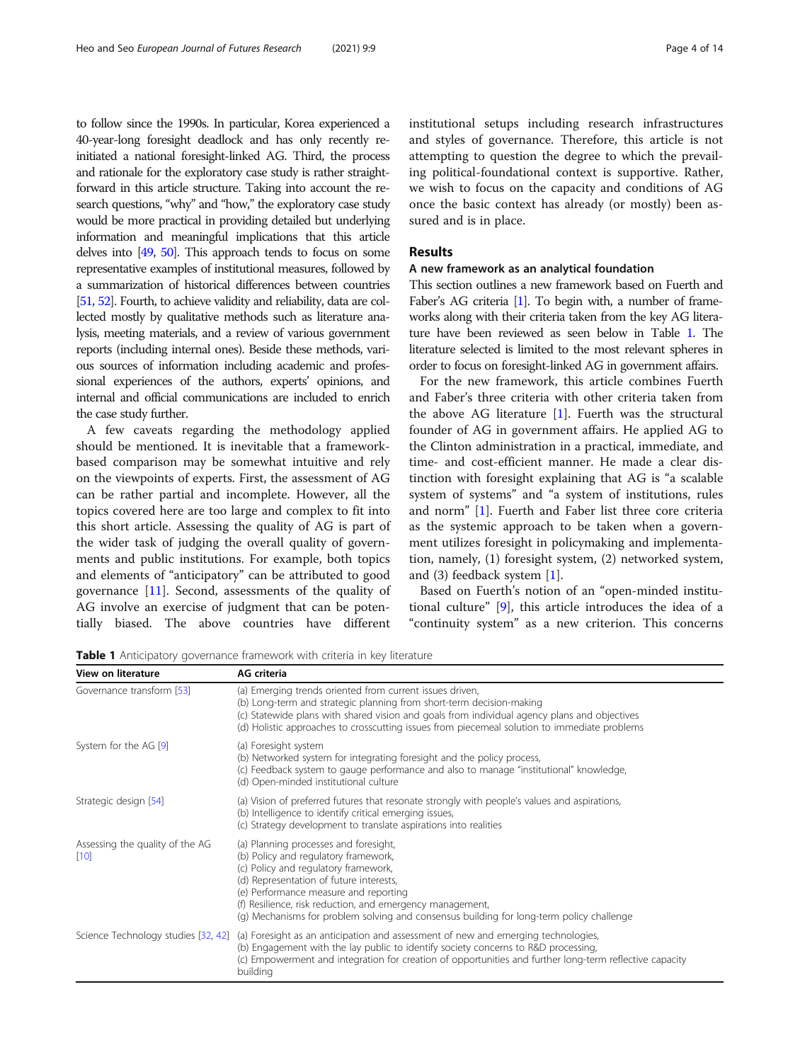to follow since the 1990s. In particular, Korea experienced a 40-year-long foresight deadlock and has only recently reinitiated a national foresight-linked AG. Third, the process and rationale for the exploratory case study is rather straightforward in this article structure. Taking into account the research questions, "why" and "how," the exploratory case study would be more practical in providing detailed but underlying information and meaningful implications that this article delves into [\[49](#page-12-0), [50\]](#page-12-0). This approach tends to focus on some representative examples of institutional measures, followed by a summarization of historical differences between countries [[51,](#page-12-0) [52](#page-12-0)]. Fourth, to achieve validity and reliability, data are collected mostly by qualitative methods such as literature analysis, meeting materials, and a review of various government reports (including internal ones). Beside these methods, various sources of information including academic and professional experiences of the authors, experts' opinions, and internal and official communications are included to enrich the case study further.

A few caveats regarding the methodology applied should be mentioned. It is inevitable that a frameworkbased comparison may be somewhat intuitive and rely on the viewpoints of experts. First, the assessment of AG can be rather partial and incomplete. However, all the topics covered here are too large and complex to fit into this short article. Assessing the quality of AG is part of the wider task of judging the overall quality of governments and public institutions. For example, both topics and elements of "anticipatory" can be attributed to good governance [[11\]](#page-11-0). Second, assessments of the quality of AG involve an exercise of judgment that can be potentially biased. The above countries have different institutional setups including research infrastructures and styles of governance. Therefore, this article is not attempting to question the degree to which the prevailing political-foundational context is supportive. Rather, we wish to focus on the capacity and conditions of AG once the basic context has already (or mostly) been assured and is in place.

# Results

# A new framework as an analytical foundation

This section outlines a new framework based on Fuerth and Faber's AG criteria [\[1\]](#page-11-0). To begin with, a number of frameworks along with their criteria taken from the key AG literature have been reviewed as seen below in Table 1. The literature selected is limited to the most relevant spheres in order to focus on foresight-linked AG in government affairs.

For the new framework, this article combines Fuerth and Faber's three criteria with other criteria taken from the above AG literature [[1\]](#page-11-0). Fuerth was the structural founder of AG in government affairs. He applied AG to the Clinton administration in a practical, immediate, and time- and cost-efficient manner. He made a clear distinction with foresight explaining that AG is "a scalable system of systems" and "a system of institutions, rules and norm" [[1\]](#page-11-0). Fuerth and Faber list three core criteria as the systemic approach to be taken when a government utilizes foresight in policymaking and implementation, namely, (1) foresight system, (2) networked system, and (3) feedback system [\[1](#page-11-0)].

Based on Fuerth's notion of an "open-minded institutional culture" [\[9](#page-11-0)], this article introduces the idea of a "continuity system" as a new criterion. This concerns

Table 1 Anticipatory governance framework with criteria in key literature

| View on literature                        | AG criteria                                                                                                                                                                                                                                                                                                                                                        |
|-------------------------------------------|--------------------------------------------------------------------------------------------------------------------------------------------------------------------------------------------------------------------------------------------------------------------------------------------------------------------------------------------------------------------|
| Governance transform [53]                 | (a) Emerging trends oriented from current issues driven,<br>(b) Long-term and strategic planning from short-term decision-making<br>(c) Statewide plans with shared vision and goals from individual agency plans and objectives<br>(d) Holistic approaches to crosscutting issues from piecemeal solution to immediate problems                                   |
| System for the AG [9]                     | (a) Foresight system<br>(b) Networked system for integrating foresight and the policy process,<br>(c) Feedback system to gauge performance and also to manage "institutional" knowledge,<br>(d) Open-minded institutional culture                                                                                                                                  |
| Strategic design [54]                     | (a) Vision of preferred futures that resonate strongly with people's values and aspirations,<br>(b) Intelligence to identify critical emerging issues,<br>(c) Strategy development to translate aspirations into realities                                                                                                                                         |
| Assessing the quality of the AG<br>$[10]$ | (a) Planning processes and foresight,<br>(b) Policy and regulatory framework,<br>(c) Policy and regulatory framework,<br>(d) Representation of future interests,<br>(e) Performance measure and reporting<br>(f) Resilience, risk reduction, and emergency management,<br>(q) Mechanisms for problem solving and consensus building for long-term policy challenge |
| Science Technology studies [32, 42]       | (a) Foresight as an anticipation and assessment of new and emerging technologies,<br>(b) Engagement with the lay public to identify society concerns to R&D processing,<br>(c) Empowerment and integration for creation of opportunities and further long-term reflective capacity<br>building                                                                     |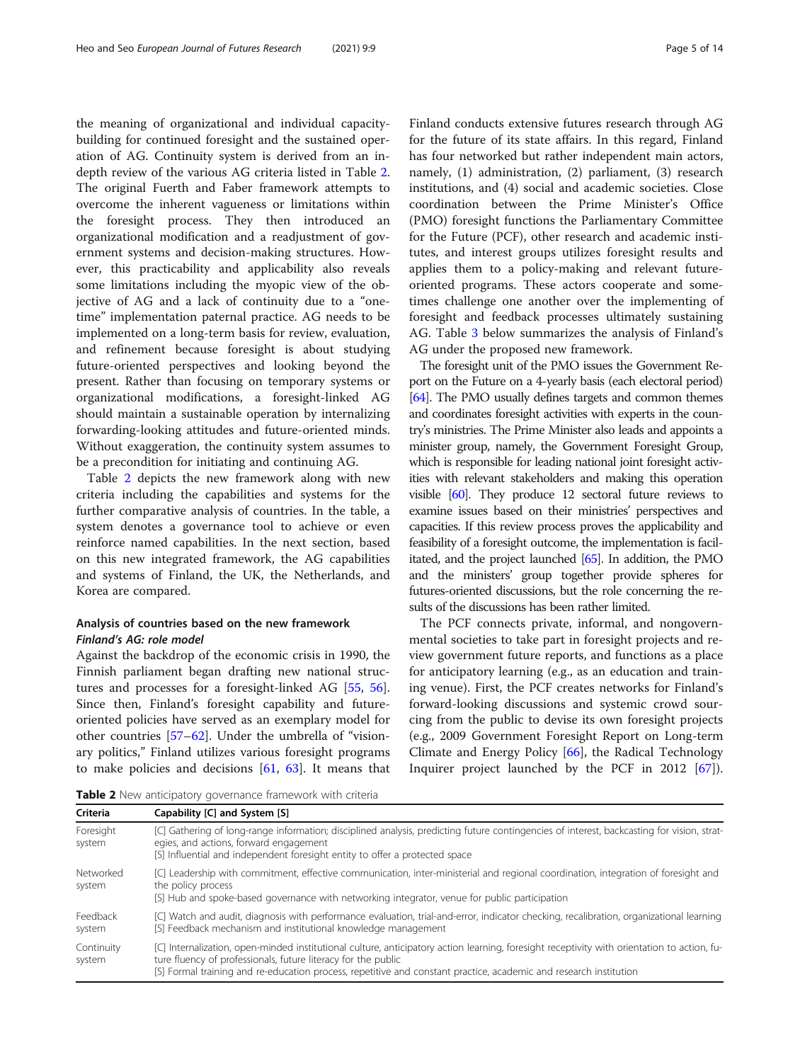the meaning of organizational and individual capacitybuilding for continued foresight and the sustained operation of AG. Continuity system is derived from an indepth review of the various AG criteria listed in Table 2. The original Fuerth and Faber framework attempts to overcome the inherent vagueness or limitations within the foresight process. They then introduced an organizational modification and a readjustment of government systems and decision-making structures. However, this practicability and applicability also reveals some limitations including the myopic view of the objective of AG and a lack of continuity due to a "onetime" implementation paternal practice. AG needs to be implemented on a long-term basis for review, evaluation, and refinement because foresight is about studying future-oriented perspectives and looking beyond the present. Rather than focusing on temporary systems or organizational modifications, a foresight-linked AG should maintain a sustainable operation by internalizing forwarding-looking attitudes and future-oriented minds. Without exaggeration, the continuity system assumes to be a precondition for initiating and continuing AG.

Table 2 depicts the new framework along with new criteria including the capabilities and systems for the further comparative analysis of countries. In the table, a system denotes a governance tool to achieve or even reinforce named capabilities. In the next section, based on this new integrated framework, the AG capabilities and systems of Finland, the UK, the Netherlands, and Korea are compared.

# Analysis of countries based on the new framework Finland's AG: role model

Against the backdrop of the economic crisis in 1990, the Finnish parliament began drafting new national structures and processes for a foresight-linked AG [\[55,](#page-12-0) [56](#page-12-0)]. Since then, Finland's foresight capability and futureoriented policies have served as an exemplary model for other countries  $[57-62]$  $[57-62]$  $[57-62]$  $[57-62]$  $[57-62]$ . Under the umbrella of "visionary politics," Finland utilizes various foresight programs to make policies and decisions [\[61,](#page-12-0) [63\]](#page-12-0). It means that

Finland conducts extensive futures research through AG for the future of its state affairs. In this regard, Finland has four networked but rather independent main actors, namely, (1) administration, (2) parliament, (3) research institutions, and (4) social and academic societies. Close coordination between the Prime Minister's Office (PMO) foresight functions the Parliamentary Committee for the Future (PCF), other research and academic institutes, and interest groups utilizes foresight results and applies them to a policy-making and relevant futureoriented programs. These actors cooperate and sometimes challenge one another over the implementing of foresight and feedback processes ultimately sustaining AG. Table [3](#page-5-0) below summarizes the analysis of Finland's AG under the proposed new framework.

The foresight unit of the PMO issues the Government Report on the Future on a 4-yearly basis (each electoral period) [[64\]](#page-12-0). The PMO usually defines targets and common themes and coordinates foresight activities with experts in the country's ministries. The Prime Minister also leads and appoints a minister group, namely, the Government Foresight Group, which is responsible for leading national joint foresight activities with relevant stakeholders and making this operation visible [[60\]](#page-12-0). They produce 12 sectoral future reviews to examine issues based on their ministries' perspectives and capacities. If this review process proves the applicability and feasibility of a foresight outcome, the implementation is facilitated, and the project launched [\[65\]](#page-12-0). In addition, the PMO and the ministers' group together provide spheres for futures-oriented discussions, but the role concerning the results of the discussions has been rather limited.

The PCF connects private, informal, and nongovernmental societies to take part in foresight projects and review government future reports, and functions as a place for anticipatory learning (e.g., as an education and training venue). First, the PCF creates networks for Finland's forward-looking discussions and systemic crowd sourcing from the public to devise its own foresight projects (e.g., 2009 Government Foresight Report on Long-term Climate and Energy Policy [\[66\]](#page-12-0), the Radical Technology Inquirer project launched by the PCF in 2012 [\[67](#page-12-0)]).

Table 2 New anticipatory governance framework with criteria

Criteria Capability [C] and System [S]

| ------               | $\epsilon$ capability $\epsilon$ and $\epsilon$                                                                                                                                                                                                                                                                                   |  |
|----------------------|-----------------------------------------------------------------------------------------------------------------------------------------------------------------------------------------------------------------------------------------------------------------------------------------------------------------------------------|--|
| Foresight<br>system  | [C] Gathering of long-range information; disciplined analysis, predicting future contingencies of interest, backcasting for vision, strat-<br>egies, and actions, forward engagement<br>[S] Influential and independent foresight entity to offer a protected space                                                               |  |
| Networked<br>system  | [C] Leadership with commitment, effective communication, inter-ministerial and regional coordination, integration of foresight and<br>the policy process<br>[S] Hub and spoke-based governance with networking integrator, venue for public participation                                                                         |  |
| Feedback<br>system   | [C] Watch and audit, diagnosis with performance evaluation, trial-and-error, indicator checking, recalibration, organizational learning<br>[S] Feedback mechanism and institutional knowledge management                                                                                                                          |  |
| Continuity<br>system | [C] Internalization, open-minded institutional culture, anticipatory action learning, foresight receptivity with orientation to action, fu-<br>ture fluency of professionals, future literacy for the public<br>[S] Formal training and re-education process, repetitive and constant practice, academic and research institution |  |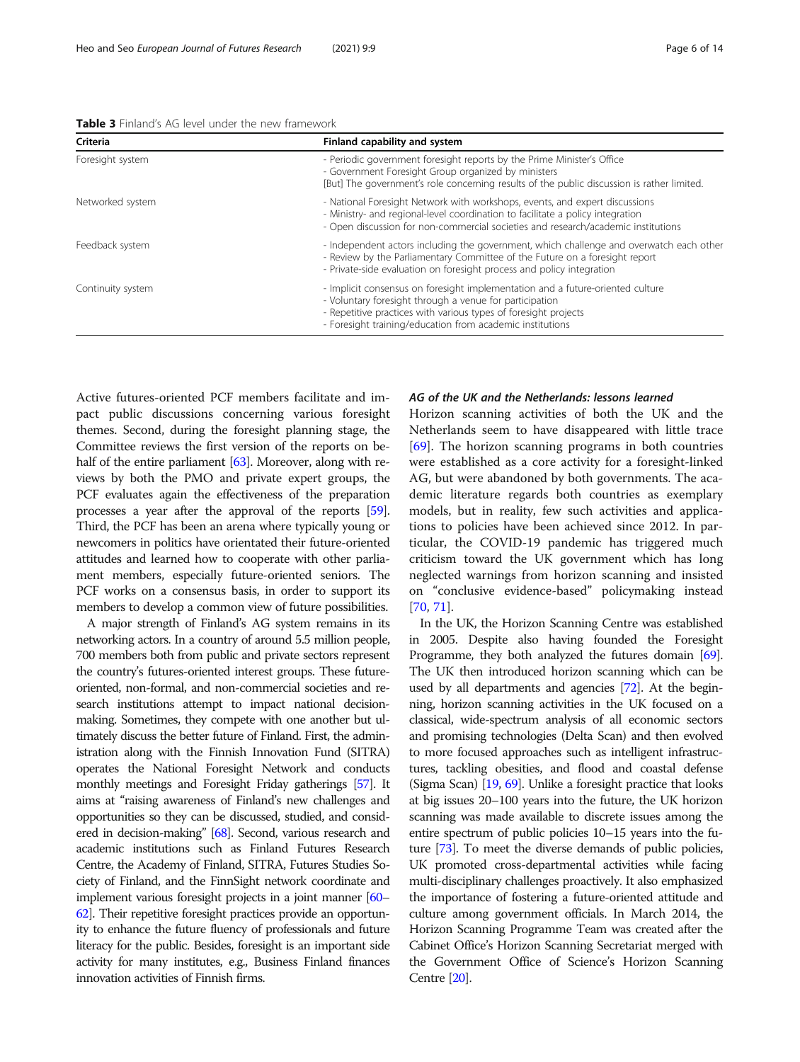<span id="page-5-0"></span>Table 3 Finland's AG level under the new framework

| Criteria          | Finland capability and system                                                                                                                                                                                                                                             |
|-------------------|---------------------------------------------------------------------------------------------------------------------------------------------------------------------------------------------------------------------------------------------------------------------------|
| Foresight system  | - Periodic government foresight reports by the Prime Minister's Office<br>- Government Foresight Group organized by ministers<br>[But] The government's role concerning results of the public discussion is rather limited.                                               |
| Networked system  | - National Foresight Network with workshops, events, and expert discussions<br>- Ministry- and regional-level coordination to facilitate a policy integration<br>- Open discussion for non-commercial societies and research/academic institutions                        |
| Feedback system   | - Independent actors including the government, which challenge and overwatch each other<br>- Review by the Parliamentary Committee of the Future on a foresight report<br>- Private-side evaluation on foresight process and policy integration                           |
| Continuity system | - Implicit consensus on foresight implementation and a future-oriented culture<br>- Voluntary foresight through a venue for participation<br>- Repetitive practices with various types of foresight projects<br>- Foresight training/education from academic institutions |

Active futures-oriented PCF members facilitate and impact public discussions concerning various foresight themes. Second, during the foresight planning stage, the Committee reviews the first version of the reports on be-half of the entire parliament [[63](#page-12-0)]. Moreover, along with reviews by both the PMO and private expert groups, the PCF evaluates again the effectiveness of the preparation processes a year after the approval of the reports [[59](#page-12-0)]. Third, the PCF has been an arena where typically young or newcomers in politics have orientated their future-oriented attitudes and learned how to cooperate with other parliament members, especially future-oriented seniors. The PCF works on a consensus basis, in order to support its members to develop a common view of future possibilities.

A major strength of Finland's AG system remains in its networking actors. In a country of around 5.5 million people, 700 members both from public and private sectors represent the country's futures-oriented interest groups. These futureoriented, non-formal, and non-commercial societies and research institutions attempt to impact national decisionmaking. Sometimes, they compete with one another but ultimately discuss the better future of Finland. First, the administration along with the Finnish Innovation Fund (SITRA) operates the National Foresight Network and conducts monthly meetings and Foresight Friday gatherings [\[57](#page-12-0)]. It aims at "raising awareness of Finland's new challenges and opportunities so they can be discussed, studied, and considered in decision-making" [\[68](#page-12-0)]. Second, various research and academic institutions such as Finland Futures Research Centre, the Academy of Finland, SITRA, Futures Studies Society of Finland, and the FinnSight network coordinate and implement various foresight projects in a joint manner [\[60](#page-12-0)– [62\]](#page-12-0). Their repetitive foresight practices provide an opportunity to enhance the future fluency of professionals and future literacy for the public. Besides, foresight is an important side activity for many institutes, e.g., Business Finland finances innovation activities of Finnish firms.

# AG of the UK and the Netherlands: lessons learned

Horizon scanning activities of both the UK and the Netherlands seem to have disappeared with little trace [[69\]](#page-13-0). The horizon scanning programs in both countries were established as a core activity for a foresight-linked AG, but were abandoned by both governments. The academic literature regards both countries as exemplary models, but in reality, few such activities and applications to policies have been achieved since 2012. In particular, the COVID-19 pandemic has triggered much criticism toward the UK government which has long neglected warnings from horizon scanning and insisted on "conclusive evidence-based" policymaking instead [[70,](#page-13-0) [71\]](#page-13-0).

In the UK, the Horizon Scanning Centre was established in 2005. Despite also having founded the Foresight Programme, they both analyzed the futures domain [\[69](#page-13-0)]. The UK then introduced horizon scanning which can be used by all departments and agencies [[72](#page-13-0)]. At the beginning, horizon scanning activities in the UK focused on a classical, wide-spectrum analysis of all economic sectors and promising technologies (Delta Scan) and then evolved to more focused approaches such as intelligent infrastructures, tackling obesities, and flood and coastal defense (Sigma Scan) [\[19](#page-12-0), [69\]](#page-13-0). Unlike a foresight practice that looks at big issues 20–100 years into the future, the UK horizon scanning was made available to discrete issues among the entire spectrum of public policies 10–15 years into the future [\[73\]](#page-13-0). To meet the diverse demands of public policies, UK promoted cross-departmental activities while facing multi-disciplinary challenges proactively. It also emphasized the importance of fostering a future-oriented attitude and culture among government officials. In March 2014, the Horizon Scanning Programme Team was created after the Cabinet Office's Horizon Scanning Secretariat merged with the Government Office of Science's Horizon Scanning Centre [\[20](#page-12-0)].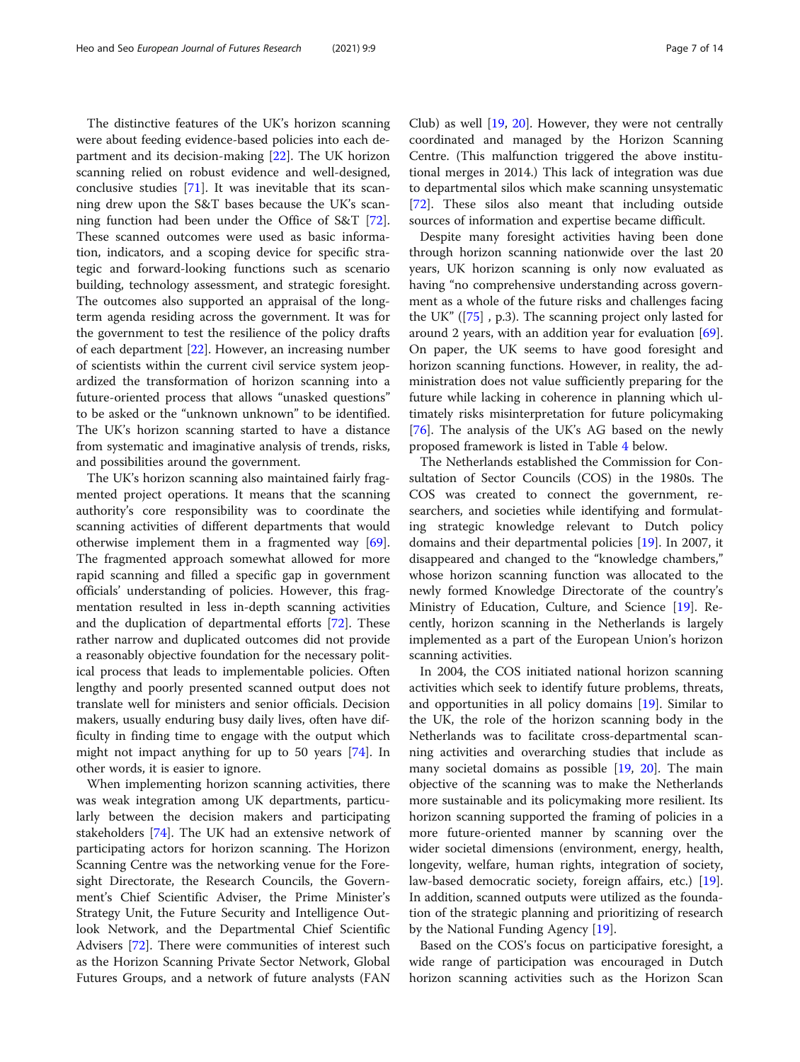The distinctive features of the UK's horizon scanning were about feeding evidence-based policies into each department and its decision-making [\[22](#page-12-0)]. The UK horizon scanning relied on robust evidence and well-designed, conclusive studies [[71\]](#page-13-0). It was inevitable that its scanning drew upon the S&T bases because the UK's scanning function had been under the Office of S&T [\[72](#page-13-0)]. These scanned outcomes were used as basic information, indicators, and a scoping device for specific strategic and forward-looking functions such as scenario building, technology assessment, and strategic foresight. The outcomes also supported an appraisal of the longterm agenda residing across the government. It was for the government to test the resilience of the policy drafts of each department [\[22\]](#page-12-0). However, an increasing number of scientists within the current civil service system jeopardized the transformation of horizon scanning into a future-oriented process that allows "unasked questions" to be asked or the "unknown unknown" to be identified. The UK's horizon scanning started to have a distance from systematic and imaginative analysis of trends, risks, and possibilities around the government.

The UK's horizon scanning also maintained fairly fragmented project operations. It means that the scanning authority's core responsibility was to coordinate the scanning activities of different departments that would otherwise implement them in a fragmented way [\[69](#page-13-0)]. The fragmented approach somewhat allowed for more rapid scanning and filled a specific gap in government officials' understanding of policies. However, this fragmentation resulted in less in-depth scanning activities and the duplication of departmental efforts [[72\]](#page-13-0). These rather narrow and duplicated outcomes did not provide a reasonably objective foundation for the necessary political process that leads to implementable policies. Often lengthy and poorly presented scanned output does not translate well for ministers and senior officials. Decision makers, usually enduring busy daily lives, often have difficulty in finding time to engage with the output which might not impact anything for up to 50 years [\[74](#page-13-0)]. In other words, it is easier to ignore.

When implementing horizon scanning activities, there was weak integration among UK departments, particularly between the decision makers and participating stakeholders [\[74](#page-13-0)]. The UK had an extensive network of participating actors for horizon scanning. The Horizon Scanning Centre was the networking venue for the Foresight Directorate, the Research Councils, the Government's Chief Scientific Adviser, the Prime Minister's Strategy Unit, the Future Security and Intelligence Outlook Network, and the Departmental Chief Scientific Advisers [[72](#page-13-0)]. There were communities of interest such as the Horizon Scanning Private Sector Network, Global Futures Groups, and a network of future analysts (FAN Club) as well [[19,](#page-12-0) [20](#page-12-0)]. However, they were not centrally coordinated and managed by the Horizon Scanning Centre. (This malfunction triggered the above institutional merges in 2014.) This lack of integration was due to departmental silos which make scanning unsystematic [[72\]](#page-13-0). These silos also meant that including outside sources of information and expertise became difficult.

Despite many foresight activities having been done through horizon scanning nationwide over the last 20 years, UK horizon scanning is only now evaluated as having "no comprehensive understanding across government as a whole of the future risks and challenges facing the UK" ([\[75](#page-13-0)] , p.3). The scanning project only lasted for around 2 years, with an addition year for evaluation [\[69](#page-13-0)]. On paper, the UK seems to have good foresight and horizon scanning functions. However, in reality, the administration does not value sufficiently preparing for the future while lacking in coherence in planning which ultimately risks misinterpretation for future policymaking [[76\]](#page-13-0). The analysis of the UK's AG based on the newly proposed framework is listed in Table [4](#page-7-0) below.

The Netherlands established the Commission for Consultation of Sector Councils (COS) in the 1980s. The COS was created to connect the government, researchers, and societies while identifying and formulating strategic knowledge relevant to Dutch policy domains and their departmental policies [[19](#page-12-0)]. In 2007, it disappeared and changed to the "knowledge chambers," whose horizon scanning function was allocated to the newly formed Knowledge Directorate of the country's Ministry of Education, Culture, and Science [\[19\]](#page-12-0). Recently, horizon scanning in the Netherlands is largely implemented as a part of the European Union's horizon scanning activities.

In 2004, the COS initiated national horizon scanning activities which seek to identify future problems, threats, and opportunities in all policy domains [\[19\]](#page-12-0). Similar to the UK, the role of the horizon scanning body in the Netherlands was to facilitate cross-departmental scanning activities and overarching studies that include as many societal domains as possible [\[19,](#page-12-0) [20\]](#page-12-0). The main objective of the scanning was to make the Netherlands more sustainable and its policymaking more resilient. Its horizon scanning supported the framing of policies in a more future-oriented manner by scanning over the wider societal dimensions (environment, energy, health, longevity, welfare, human rights, integration of society, law-based democratic society, foreign affairs, etc.) [\[19](#page-12-0)]. In addition, scanned outputs were utilized as the foundation of the strategic planning and prioritizing of research by the National Funding Agency [\[19\]](#page-12-0).

Based on the COS's focus on participative foresight, a wide range of participation was encouraged in Dutch horizon scanning activities such as the Horizon Scan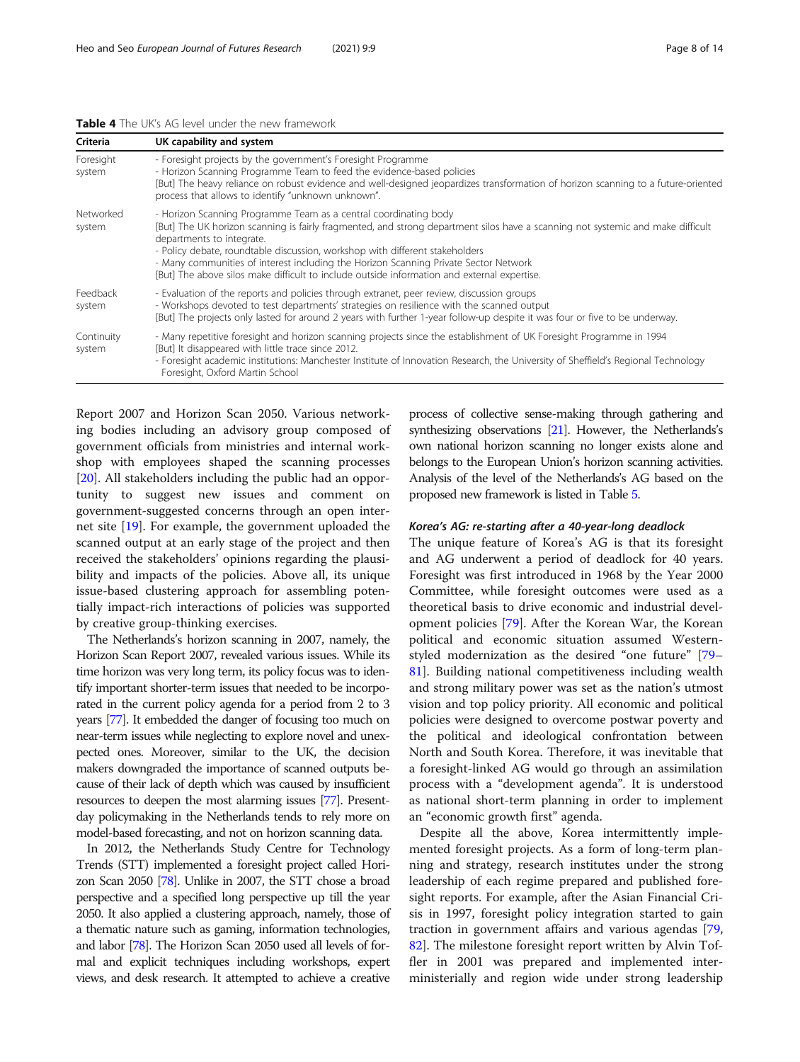<span id="page-7-0"></span>Table 4 The UK's AG level under the new framework

| Criteria             | UK capability and system                                                                                                                                                                                                                                                                                                                                                                                                                                                                                |
|----------------------|---------------------------------------------------------------------------------------------------------------------------------------------------------------------------------------------------------------------------------------------------------------------------------------------------------------------------------------------------------------------------------------------------------------------------------------------------------------------------------------------------------|
| Foresight<br>system  | - Foresight projects by the government's Foresight Programme<br>- Horizon Scanning Programme Team to feed the evidence-based policies<br>[But] The heavy reliance on robust evidence and well-designed jeopardizes transformation of horizon scanning to a future-oriented<br>process that allows to identify "unknown unknown".                                                                                                                                                                        |
| Networked<br>system  | - Horizon Scanning Programme Team as a central coordinating body<br>[But] The UK horizon scanning is fairly fragmented, and strong department silos have a scanning not systemic and make difficult<br>departments to integrate.<br>- Policy debate, roundtable discussion, workshop with different stakeholders<br>- Many communities of interest including the Horizon Scanning Private Sector Network<br>[But] The above silos make difficult to include outside information and external expertise. |
| Feedback<br>system   | - Evaluation of the reports and policies through extranet, peer review, discussion groups<br>- Workshops devoted to test departments' strategies on resilience with the scanned output<br>[But] The projects only lasted for around 2 years with further 1-year follow-up despite it was four or five to be underway.                                                                                                                                                                                   |
| Continuity<br>system | - Many repetitive foresight and horizon scanning projects since the establishment of UK Foresight Programme in 1994<br>[But] It disappeared with little trace since 2012.<br>- Foresight academic institutions: Manchester Institute of Innovation Research, the University of Sheffield's Regional Technology<br>Foresight, Oxford Martin School                                                                                                                                                       |

Report 2007 and Horizon Scan 2050. Various networking bodies including an advisory group composed of government officials from ministries and internal workshop with employees shaped the scanning processes [[20\]](#page-12-0). All stakeholders including the public had an opportunity to suggest new issues and comment on government-suggested concerns through an open internet site [\[19](#page-12-0)]. For example, the government uploaded the scanned output at an early stage of the project and then received the stakeholders' opinions regarding the plausibility and impacts of the policies. Above all, its unique issue-based clustering approach for assembling potentially impact-rich interactions of policies was supported by creative group-thinking exercises.

The Netherlands's horizon scanning in 2007, namely, the Horizon Scan Report 2007, revealed various issues. While its time horizon was very long term, its policy focus was to identify important shorter-term issues that needed to be incorporated in the current policy agenda for a period from 2 to 3 years [\[77\]](#page-13-0). It embedded the danger of focusing too much on near-term issues while neglecting to explore novel and unexpected ones. Moreover, similar to the UK, the decision makers downgraded the importance of scanned outputs because of their lack of depth which was caused by insufficient resources to deepen the most alarming issues [\[77](#page-13-0)]. Presentday policymaking in the Netherlands tends to rely more on model-based forecasting, and not on horizon scanning data.

In 2012, the Netherlands Study Centre for Technology Trends (STT) implemented a foresight project called Horizon Scan 2050 [\[78](#page-13-0)]. Unlike in 2007, the STT chose a broad perspective and a specified long perspective up till the year 2050. It also applied a clustering approach, namely, those of a thematic nature such as gaming, information technologies, and labor [\[78](#page-13-0)]. The Horizon Scan 2050 used all levels of formal and explicit techniques including workshops, expert views, and desk research. It attempted to achieve a creative process of collective sense-making through gathering and synthesizing observations [[21\]](#page-12-0). However, the Netherlands's own national horizon scanning no longer exists alone and belongs to the European Union's horizon scanning activities. Analysis of the level of the Netherlands's AG based on the proposed new framework is listed in Table [5.](#page-8-0)

#### Korea's AG: re-starting after a 40-year-long deadlock

The unique feature of Korea's AG is that its foresight and AG underwent a period of deadlock for 40 years. Foresight was first introduced in 1968 by the Year 2000 Committee, while foresight outcomes were used as a theoretical basis to drive economic and industrial development policies [[79\]](#page-13-0). After the Korean War, the Korean political and economic situation assumed Westernstyled modernization as the desired "one future" [[79](#page-13-0)– [81\]](#page-13-0). Building national competitiveness including wealth and strong military power was set as the nation's utmost vision and top policy priority. All economic and political policies were designed to overcome postwar poverty and the political and ideological confrontation between North and South Korea. Therefore, it was inevitable that a foresight-linked AG would go through an assimilation process with a "development agenda". It is understood as national short-term planning in order to implement an "economic growth first" agenda.

Despite all the above, Korea intermittently implemented foresight projects. As a form of long-term planning and strategy, research institutes under the strong leadership of each regime prepared and published foresight reports. For example, after the Asian Financial Crisis in 1997, foresight policy integration started to gain traction in government affairs and various agendas [[79](#page-13-0), [82\]](#page-13-0). The milestone foresight report written by Alvin Toffler in 2001 was prepared and implemented interministerially and region wide under strong leadership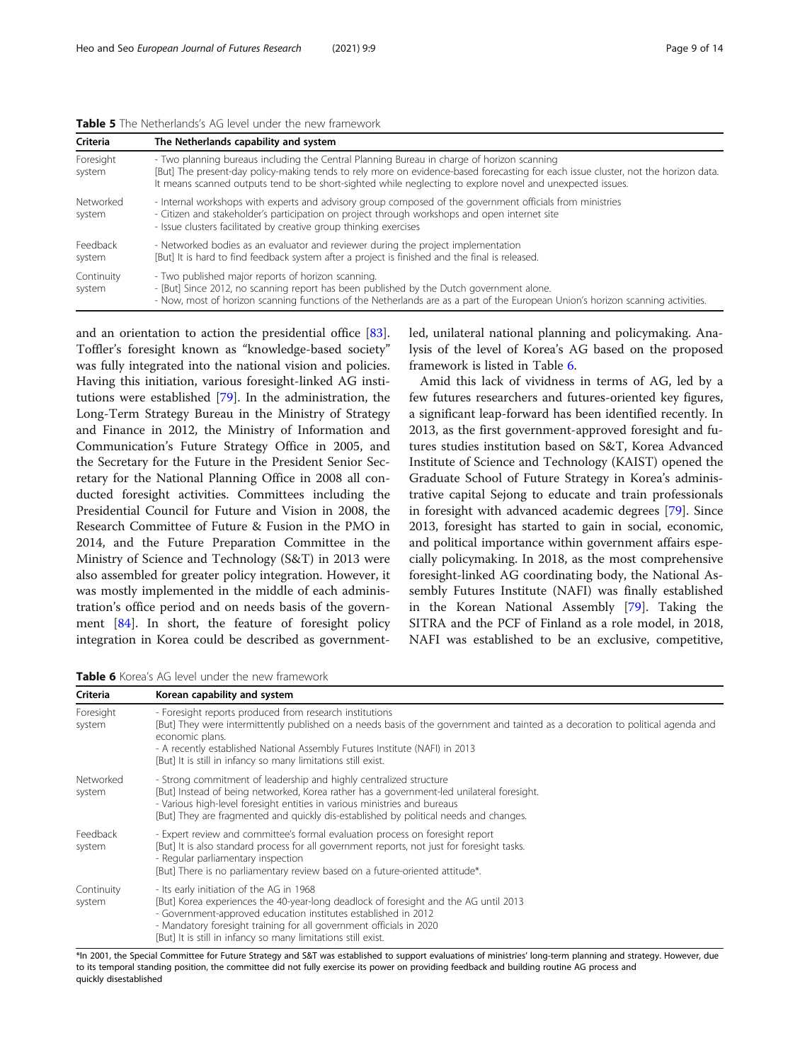<span id="page-8-0"></span>

| <b>Table 5</b> The Netherlands's AG level under the new framework |  |
|-------------------------------------------------------------------|--|
|-------------------------------------------------------------------|--|

| Criteria             | The Netherlands capability and system                                                                                                                                                                                                                                                                                                          |
|----------------------|------------------------------------------------------------------------------------------------------------------------------------------------------------------------------------------------------------------------------------------------------------------------------------------------------------------------------------------------|
| Foresight<br>system  | - Two planning bureaus including the Central Planning Bureau in charge of horizon scanning<br>[But] The present-day policy-making tends to rely more on evidence-based forecasting for each issue cluster, not the horizon data.<br>It means scanned outputs tend to be short-sighted while neglecting to explore novel and unexpected issues. |
| Networked<br>system  | - Internal workshops with experts and advisory group composed of the government officials from ministries<br>- Citizen and stakeholder's participation on project through workshops and open internet site<br>- Issue clusters facilitated by creative group thinking exercises                                                                |
| Feedback<br>system   | - Networked bodies as an evaluator and reviewer during the project implementation<br>[But] It is hard to find feedback system after a project is finished and the final is released.                                                                                                                                                           |
| Continuity<br>system | - Two published major reports of horizon scanning.<br>- [But] Since 2012, no scanning report has been published by the Dutch government alone.<br>- Now, most of horizon scanning functions of the Netherlands are as a part of the European Union's horizon scanning activities.                                                              |

and an orientation to action the presidential office [\[83](#page-13-0)]. Toffler's foresight known as "knowledge-based society" was fully integrated into the national vision and policies. Having this initiation, various foresight-linked AG institutions were established [[79\]](#page-13-0). In the administration, the Long-Term Strategy Bureau in the Ministry of Strategy and Finance in 2012, the Ministry of Information and Communication's Future Strategy Office in 2005, and the Secretary for the Future in the President Senior Secretary for the National Planning Office in 2008 all conducted foresight activities. Committees including the Presidential Council for Future and Vision in 2008, the Research Committee of Future & Fusion in the PMO in 2014, and the Future Preparation Committee in the Ministry of Science and Technology (S&T) in 2013 were also assembled for greater policy integration. However, it was mostly implemented in the middle of each administration's office period and on needs basis of the government [[84\]](#page-13-0). In short, the feature of foresight policy integration in Korea could be described as governmentled, unilateral national planning and policymaking. Analysis of the level of Korea's AG based on the proposed framework is listed in Table 6.

Amid this lack of vividness in terms of AG, led by a few futures researchers and futures-oriented key figures, a significant leap-forward has been identified recently. In 2013, as the first government-approved foresight and futures studies institution based on S&T, Korea Advanced Institute of Science and Technology (KAIST) opened the Graduate School of Future Strategy in Korea's administrative capital Sejong to educate and train professionals in foresight with advanced academic degrees [[79\]](#page-13-0). Since 2013, foresight has started to gain in social, economic, and political importance within government affairs especially policymaking. In 2018, as the most comprehensive foresight-linked AG coordinating body, the National Assembly Futures Institute (NAFI) was finally established in the Korean National Assembly [[79\]](#page-13-0). Taking the SITRA and the PCF of Finland as a role model, in 2018, NAFI was established to be an exclusive, competitive,

Table 6 Korea's AG level under the new framework

| Criteria             | Korean capability and system                                                                                                                                                                                                                                                                                                                                  |
|----------------------|---------------------------------------------------------------------------------------------------------------------------------------------------------------------------------------------------------------------------------------------------------------------------------------------------------------------------------------------------------------|
| Foresight<br>system  | - Foresight reports produced from research institutions<br>[But] They were intermittently published on a needs basis of the government and tainted as a decoration to political agenda and<br>economic plans.<br>- A recently established National Assembly Futures Institute (NAFI) in 2013<br>[But] It is still in infancy so many limitations still exist. |
| Networked<br>system  | - Strong commitment of leadership and highly centralized structure<br>[But] Instead of being networked, Korea rather has a government-led unilateral foresight.<br>- Various high-level foresight entities in various ministries and bureaus<br>[But] They are fragmented and guickly dis-established by political needs and changes.                         |
| Feedback<br>system   | - Expert review and committee's formal evaluation process on foresight report<br>[But] It is also standard process for all government reports, not just for foresight tasks.<br>- Regular parliamentary inspection<br>[But] There is no parliamentary review based on a future-oriented attitude*.                                                            |
| Continuity<br>system | - Its early initiation of the AG in 1968<br>[But] Korea experiences the 40-year-long deadlock of foresight and the AG until 2013<br>- Government-approved education institutes established in 2012<br>- Mandatory foresight training for all government officials in 2020<br>[But] It is still in infancy so many limitations still exist.                    |

\*In 2001, the Special Committee for Future Strategy and S&T was established to support evaluations of ministries' long-term planning and strategy. However, due to its temporal standing position, the committee did not fully exercise its power on providing feedback and building routine AG process and quickly disestablished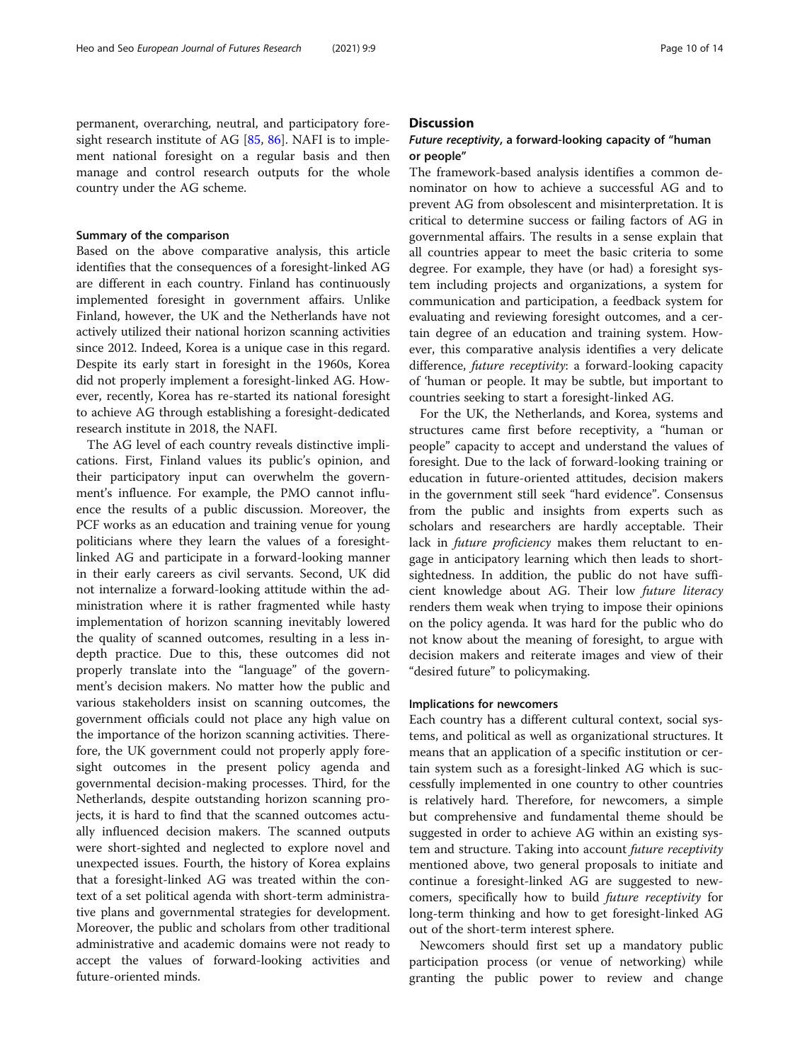permanent, overarching, neutral, and participatory foresight research institute of AG [\[85](#page-13-0), [86](#page-13-0)]. NAFI is to implement national foresight on a regular basis and then manage and control research outputs for the whole country under the AG scheme.

#### Summary of the comparison

Based on the above comparative analysis, this article identifies that the consequences of a foresight-linked AG are different in each country. Finland has continuously implemented foresight in government affairs. Unlike Finland, however, the UK and the Netherlands have not actively utilized their national horizon scanning activities since 2012. Indeed, Korea is a unique case in this regard. Despite its early start in foresight in the 1960s, Korea did not properly implement a foresight-linked AG. However, recently, Korea has re-started its national foresight to achieve AG through establishing a foresight-dedicated research institute in 2018, the NAFI.

The AG level of each country reveals distinctive implications. First, Finland values its public's opinion, and their participatory input can overwhelm the government's influence. For example, the PMO cannot influence the results of a public discussion. Moreover, the PCF works as an education and training venue for young politicians where they learn the values of a foresightlinked AG and participate in a forward-looking manner in their early careers as civil servants. Second, UK did not internalize a forward-looking attitude within the administration where it is rather fragmented while hasty implementation of horizon scanning inevitably lowered the quality of scanned outcomes, resulting in a less indepth practice. Due to this, these outcomes did not properly translate into the "language" of the government's decision makers. No matter how the public and various stakeholders insist on scanning outcomes, the government officials could not place any high value on the importance of the horizon scanning activities. Therefore, the UK government could not properly apply foresight outcomes in the present policy agenda and governmental decision-making processes. Third, for the Netherlands, despite outstanding horizon scanning projects, it is hard to find that the scanned outcomes actually influenced decision makers. The scanned outputs were short-sighted and neglected to explore novel and unexpected issues. Fourth, the history of Korea explains that a foresight-linked AG was treated within the context of a set political agenda with short-term administrative plans and governmental strategies for development. Moreover, the public and scholars from other traditional administrative and academic domains were not ready to accept the values of forward-looking activities and future-oriented minds.

# **Discussion**

# Future receptivity, a forward-looking capacity of "human or people"

The framework-based analysis identifies a common denominator on how to achieve a successful AG and to prevent AG from obsolescent and misinterpretation. It is critical to determine success or failing factors of AG in governmental affairs. The results in a sense explain that all countries appear to meet the basic criteria to some degree. For example, they have (or had) a foresight system including projects and organizations, a system for communication and participation, a feedback system for evaluating and reviewing foresight outcomes, and a certain degree of an education and training system. However, this comparative analysis identifies a very delicate difference, future receptivity: a forward-looking capacity of 'human or people. It may be subtle, but important to countries seeking to start a foresight-linked AG.

For the UK, the Netherlands, and Korea, systems and structures came first before receptivity, a "human or people" capacity to accept and understand the values of foresight. Due to the lack of forward-looking training or education in future-oriented attitudes, decision makers in the government still seek "hard evidence". Consensus from the public and insights from experts such as scholars and researchers are hardly acceptable. Their lack in *future proficiency* makes them reluctant to engage in anticipatory learning which then leads to shortsightedness. In addition, the public do not have sufficient knowledge about AG. Their low future literacy renders them weak when trying to impose their opinions on the policy agenda. It was hard for the public who do not know about the meaning of foresight, to argue with decision makers and reiterate images and view of their "desired future" to policymaking.

#### Implications for newcomers

Each country has a different cultural context, social systems, and political as well as organizational structures. It means that an application of a specific institution or certain system such as a foresight-linked AG which is successfully implemented in one country to other countries is relatively hard. Therefore, for newcomers, a simple but comprehensive and fundamental theme should be suggested in order to achieve AG within an existing system and structure. Taking into account future receptivity mentioned above, two general proposals to initiate and continue a foresight-linked AG are suggested to newcomers, specifically how to build future receptivity for long-term thinking and how to get foresight-linked AG out of the short-term interest sphere.

Newcomers should first set up a mandatory public participation process (or venue of networking) while granting the public power to review and change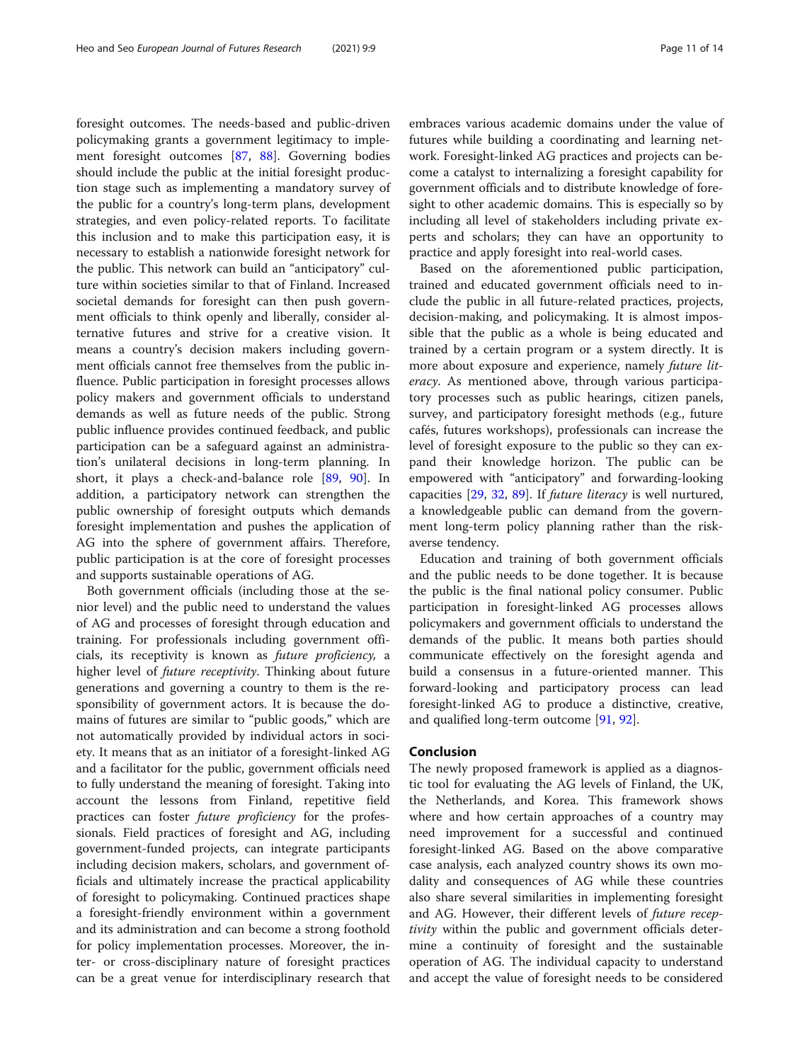foresight outcomes. The needs-based and public-driven policymaking grants a government legitimacy to implement foresight outcomes [\[87,](#page-13-0) [88](#page-13-0)]. Governing bodies should include the public at the initial foresight production stage such as implementing a mandatory survey of the public for a country's long-term plans, development strategies, and even policy-related reports. To facilitate this inclusion and to make this participation easy, it is necessary to establish a nationwide foresight network for the public. This network can build an "anticipatory" culture within societies similar to that of Finland. Increased societal demands for foresight can then push government officials to think openly and liberally, consider alternative futures and strive for a creative vision. It means a country's decision makers including government officials cannot free themselves from the public influence. Public participation in foresight processes allows policy makers and government officials to understand demands as well as future needs of the public. Strong public influence provides continued feedback, and public participation can be a safeguard against an administration's unilateral decisions in long-term planning. In short, it plays a check-and-balance role [\[89](#page-13-0), [90](#page-13-0)]. In addition, a participatory network can strengthen the public ownership of foresight outputs which demands foresight implementation and pushes the application of AG into the sphere of government affairs. Therefore, public participation is at the core of foresight processes and supports sustainable operations of AG.

Both government officials (including those at the senior level) and the public need to understand the values of AG and processes of foresight through education and training. For professionals including government officials, its receptivity is known as future proficiency, a higher level of *future receptivity*. Thinking about future generations and governing a country to them is the responsibility of government actors. It is because the domains of futures are similar to "public goods," which are not automatically provided by individual actors in society. It means that as an initiator of a foresight-linked AG and a facilitator for the public, government officials need to fully understand the meaning of foresight. Taking into account the lessons from Finland, repetitive field practices can foster future proficiency for the professionals. Field practices of foresight and AG, including government-funded projects, can integrate participants including decision makers, scholars, and government officials and ultimately increase the practical applicability of foresight to policymaking. Continued practices shape a foresight-friendly environment within a government and its administration and can become a strong foothold for policy implementation processes. Moreover, the inter- or cross-disciplinary nature of foresight practices can be a great venue for interdisciplinary research that

embraces various academic domains under the value of futures while building a coordinating and learning network. Foresight-linked AG practices and projects can become a catalyst to internalizing a foresight capability for government officials and to distribute knowledge of foresight to other academic domains. This is especially so by including all level of stakeholders including private experts and scholars; they can have an opportunity to practice and apply foresight into real-world cases.

Based on the aforementioned public participation, trained and educated government officials need to include the public in all future-related practices, projects, decision-making, and policymaking. It is almost impossible that the public as a whole is being educated and trained by a certain program or a system directly. It is more about exposure and experience, namely future literacy. As mentioned above, through various participatory processes such as public hearings, citizen panels, survey, and participatory foresight methods (e.g., future cafés, futures workshops), professionals can increase the level of foresight exposure to the public so they can expand their knowledge horizon. The public can be empowered with "anticipatory" and forwarding-looking capacities [[29](#page-12-0), [32,](#page-12-0) [89](#page-13-0)]. If future literacy is well nurtured, a knowledgeable public can demand from the government long-term policy planning rather than the riskaverse tendency.

Education and training of both government officials and the public needs to be done together. It is because the public is the final national policy consumer. Public participation in foresight-linked AG processes allows policymakers and government officials to understand the demands of the public. It means both parties should communicate effectively on the foresight agenda and build a consensus in a future-oriented manner. This forward-looking and participatory process can lead foresight-linked AG to produce a distinctive, creative, and qualified long-term outcome [\[91](#page-13-0), [92\]](#page-13-0).

### Conclusion

The newly proposed framework is applied as a diagnostic tool for evaluating the AG levels of Finland, the UK, the Netherlands, and Korea. This framework shows where and how certain approaches of a country may need improvement for a successful and continued foresight-linked AG. Based on the above comparative case analysis, each analyzed country shows its own modality and consequences of AG while these countries also share several similarities in implementing foresight and AG. However, their different levels of future receptivity within the public and government officials determine a continuity of foresight and the sustainable operation of AG. The individual capacity to understand and accept the value of foresight needs to be considered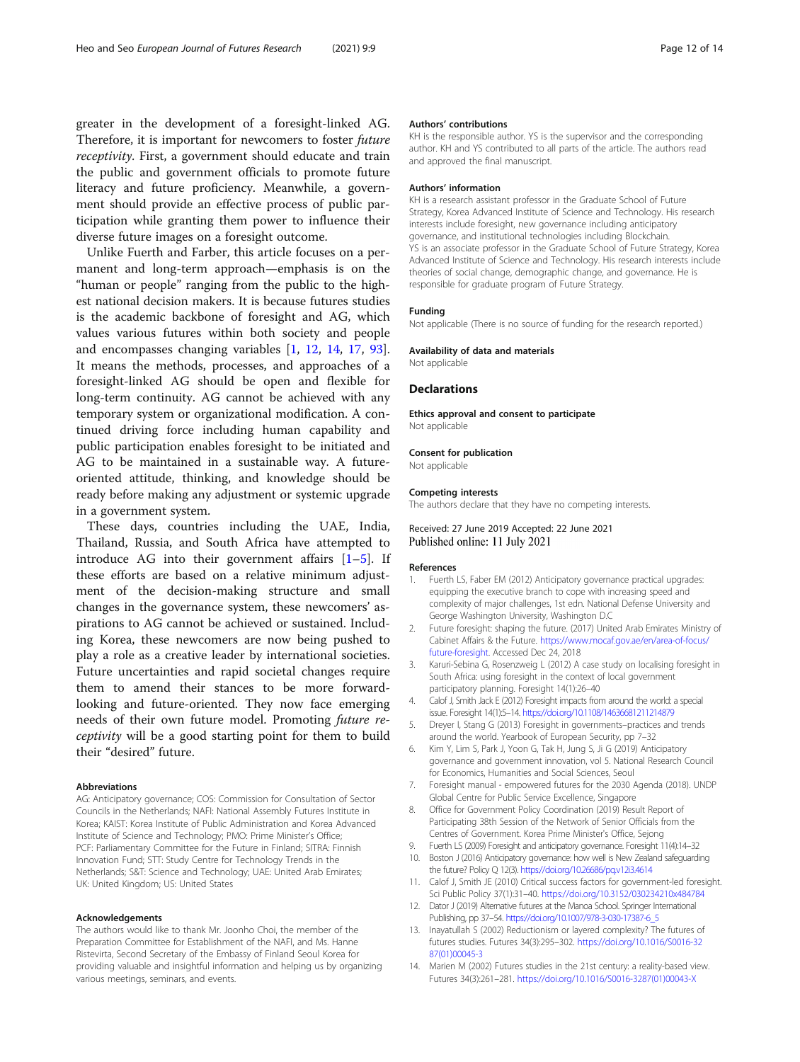<span id="page-11-0"></span>greater in the development of a foresight-linked AG. Therefore, it is important for newcomers to foster future receptivity. First, a government should educate and train the public and government officials to promote future literacy and future proficiency. Meanwhile, a government should provide an effective process of public participation while granting them power to influence their diverse future images on a foresight outcome.

Unlike Fuerth and Farber, this article focuses on a permanent and long-term approach—emphasis is on the "human or people" ranging from the public to the highest national decision makers. It is because futures studies is the academic backbone of foresight and AG, which values various futures within both society and people and encompasses changing variables [1, 12, 14, [17](#page-12-0), [93](#page-13-0)]. It means the methods, processes, and approaches of a foresight-linked AG should be open and flexible for long-term continuity. AG cannot be achieved with any temporary system or organizational modification. A continued driving force including human capability and public participation enables foresight to be initiated and AG to be maintained in a sustainable way. A futureoriented attitude, thinking, and knowledge should be ready before making any adjustment or systemic upgrade in a government system.

These days, countries including the UAE, India, Thailand, Russia, and South Africa have attempted to introduce AG into their government affairs [1–5]. If these efforts are based on a relative minimum adjustment of the decision-making structure and small changes in the governance system, these newcomers' aspirations to AG cannot be achieved or sustained. Including Korea, these newcomers are now being pushed to play a role as a creative leader by international societies. Future uncertainties and rapid societal changes require them to amend their stances to be more forwardlooking and future-oriented. They now face emerging needs of their own future model. Promoting future receptivity will be a good starting point for them to build their "desired" future.

#### Abbreviations

AG: Anticipatory governance; COS: Commission for Consultation of Sector Councils in the Netherlands; NAFI: National Assembly Futures Institute in Korea; KAIST: Korea Institute of Public Administration and Korea Advanced Institute of Science and Technology; PMO: Prime Minister's Office; PCF: Parliamentary Committee for the Future in Finland; SITRA: Finnish Innovation Fund; STT: Study Centre for Technology Trends in the Netherlands; S&T: Science and Technology; UAE: United Arab Emirates; UK: United Kingdom; US: United States

#### Acknowledgements

The authors would like to thank Mr. Joonho Choi, the member of the Preparation Committee for Establishment of the NAFI, and Ms. Hanne Ristevirta, Second Secretary of the Embassy of Finland Seoul Korea for providing valuable and insightful information and helping us by organizing various meetings, seminars, and events.

#### Authors' contributions

KH is the responsible author. YS is the supervisor and the corresponding author. KH and YS contributed to all parts of the article. The authors read and approved the final manuscript.

#### Authors' information

KH is a research assistant professor in the Graduate School of Future Strategy, Korea Advanced Institute of Science and Technology. His research interests include foresight, new governance including anticipatory governance, and institutional technologies including Blockchain. YS is an associate professor in the Graduate School of Future Strategy, Korea Advanced Institute of Science and Technology. His research interests include theories of social change, demographic change, and governance. He is responsible for graduate program of Future Strategy.

#### Funding

Not applicable (There is no source of funding for the research reported.)

#### Availability of data and materials

Not applicable

#### Declarations

Ethics approval and consent to participate Not applicable

#### Consent for publication

Not applicable

#### Competing interests

The authors declare that they have no competing interests.

#### Received: 27 June 2019 Accepted: 22 June 2021 Published online: 11 July 2021

#### References

- Fuerth LS, Faber EM (2012) Anticipatory governance practical upgrades: equipping the executive branch to cope with increasing speed and complexity of major challenges, 1st edn. National Defense University and George Washington University, Washington D.C
- 2. Future foresight: shaping the future. (2017) United Arab Emirates Ministry of Cabinet Affairs & the Future. [https://www.mocaf.gov.ae/en/area-of-focus/](https://www.mocaf.gov.ae/en/area-of-focus/future-foresight) [future-foresight.](https://www.mocaf.gov.ae/en/area-of-focus/future-foresight) Accessed Dec 24, 2018
- 3. Karuri-Sebina G, Rosenzweig L (2012) A case study on localising foresight in South Africa: using foresight in the context of local government participatory planning. Foresight 14(1):26–40
- 4. Calof J, Smith Jack E (2012) Foresight impacts from around the world: a special issue. Foresight 14(1):5–14. <https://doi.org/10.1108/14636681211214879>
- 5. Dreyer I, Stang G (2013) Foresight in governments–practices and trends around the world. Yearbook of European Security, pp 7–32
- 6. Kim Y, Lim S, Park J, Yoon G, Tak H, Jung S, Ji G (2019) Anticipatory governance and government innovation, vol 5. National Research Council for Economics, Humanities and Social Sciences, Seoul
- 7. Foresight manual empowered futures for the 2030 Agenda (2018). UNDP Global Centre for Public Service Excellence, Singapore
- 8. Office for Government Policy Coordination (2019) Result Report of Participating 38th Session of the Network of Senior Officials from the Centres of Government. Korea Prime Minister's Office, Sejong
- 9. Fuerth LS (2009) Foresight and anticipatory governance. Foresight 11(4):14–32
- 10. Boston J (2016) Anticipatory governance: how well is New Zealand safeguarding the future? Policy Q 12(3). <https://doi.org/10.26686/pq.v12i3.4614>
- 11. Calof J, Smith JE (2010) Critical success factors for government-led foresight. Sci Public Policy 37(1):31–40. <https://doi.org/10.3152/030234210x484784>
- 12. Dator J (2019) Alternative futures at the Manoa School. Springer International Publishing, pp 37–54. [https://doi.org/10.1007/978-3-030-17387-6\\_5](https://doi.org/10.1007/978-3-030-17387-6_5)
- 13. Inayatullah S (2002) Reductionism or layered complexity? The futures of futures studies. Futures 34(3):295–302. [https://doi.org/10.1016/S0016-32](https://doi.org/10.1016/S0016-3287(01)00045-3) [87\(01\)00045-3](https://doi.org/10.1016/S0016-3287(01)00045-3)
- 14. Marien M (2002) Futures studies in the 21st century: a reality-based view. Futures 34(3):261–281. [https://doi.org/10.1016/S0016-3287\(01\)00043-X](https://doi.org/10.1016/S0016-3287(01)00043-X)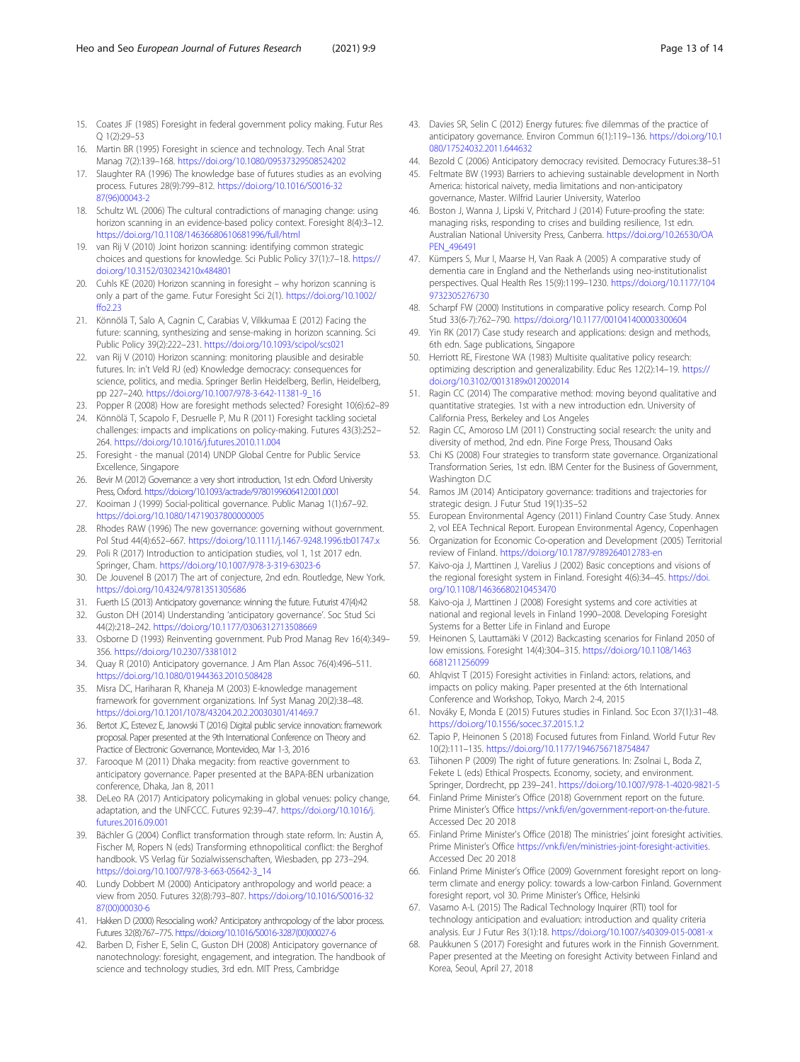- <span id="page-12-0"></span>15. Coates JF (1985) Foresight in federal government policy making. Futur Res Q 1(2):29–53
- 16. Martin BR (1995) Foresight in science and technology. Tech Anal Strat Manag 7(2):139–168. <https://doi.org/10.1080/09537329508524202>
- 17. Slaughter RA (1996) The knowledge base of futures studies as an evolving process. Futures 28(9):799–812. [https://doi.org/10.1016/S0016-32](https://doi.org/10.1016/S0016-3287(96)00043-2) [87\(96\)00043-2](https://doi.org/10.1016/S0016-3287(96)00043-2)
- 18. Schultz WL (2006) The cultural contradictions of managing change: using horizon scanning in an evidence-based policy context. Foresight 8(4):3–12. <https://doi.org/10.1108/14636680610681996/full/html>
- 19. van Rij V (2010) Joint horizon scanning: identifying common strategic choices and questions for knowledge. Sci Public Policy 37(1):7–18. [https://](https://doi.org/10.3152/030234210x484801) [doi.org/10.3152/030234210x484801](https://doi.org/10.3152/030234210x484801)
- 20. Cuhls KE (2020) Horizon scanning in foresight why horizon scanning is only a part of the game. Futur Foresight Sci 2(1). [https://doi.org/10.1002/](https://doi.org/10.1002/ffo2.23) [ffo2.23](https://doi.org/10.1002/ffo2.23)
- 21. Könnölä T, Salo A, Cagnin C, Carabias V, Vilkkumaa E (2012) Facing the future: scanning, synthesizing and sense-making in horizon scanning. Sci Public Policy 39(2):222–231. <https://doi.org/10.1093/scipol/scs021>
- 22. van Rij V (2010) Horizon scanning: monitoring plausible and desirable futures. In: in't Veld RJ (ed) Knowledge democracy: consequences for science, politics, and media. Springer Berlin Heidelberg, Berlin, Heidelberg, pp 227–240. [https://doi.org/10.1007/978-3-642-11381-9\\_16](https://doi.org/10.1007/978-3-642-11381-9_16)
- 23. Popper R (2008) How are foresight methods selected? Foresight 10(6):62–89
- 24. Könnölä T, Scapolo F, Desruelle P, Mu R (2011) Foresight tackling societal challenges: impacts and implications on policy-making. Futures 43(3):252– 264. <https://doi.org/10.1016/j.futures.2010.11.004>
- 25. Foresight the manual (2014) UNDP Global Centre for Public Service Excellence, Singapore
- 26. Bevir M (2012) Governance: a very short introduction, 1st edn. Oxford University Press, Oxford. <https://doi.org/10.1093/actrade/9780199606412.001.0001>
- 27. Kooiman J (1999) Social-political governance. Public Manag 1(1):67–92. <https://doi.org/10.1080/14719037800000005>
- 28. Rhodes RAW (1996) The new governance: governing without government. Pol Stud 44(4):652–667. <https://doi.org/10.1111/j.1467-9248.1996.tb01747.x>
- 29. Poli R (2017) Introduction to anticipation studies, vol 1, 1st 2017 edn. Springer, Cham. <https://doi.org/10.1007/978-3-319-63023-6>
- 30. De Jouvenel B (2017) The art of conjecture, 2nd edn. Routledge, New York. <https://doi.org/10.4324/9781351305686>
- 31. Fuerth LS (2013) Anticipatory governance: winning the future. Futurist 47(4):42
- 32. Guston DH (2014) Understanding 'anticipatory governance'. Soc Stud Sci 44(2):218–242. <https://doi.org/10.1177/0306312713508669>
- 33. Osborne D (1993) Reinventing government. Pub Prod Manag Rev 16(4):349– 356. <https://doi.org/10.2307/3381012>
- 34. Quay R (2010) Anticipatory governance. J Am Plan Assoc 76(4):496–511. <https://doi.org/10.1080/01944363.2010.508428>
- 35. Misra DC, Hariharan R, Khaneja M (2003) E-knowledge management framework for government organizations. Inf Syst Manag 20(2):38–48. <https://doi.org/10.1201/1078/43204.20.2.20030301/41469.7>
- 36. Bertot JC, Estevez E, Janowski T (2016) Digital public service innovation: framework proposal. Paper presented at the 9th International Conference on Theory and Practice of Electronic Governance, Montevideo, Mar 1-3, 2016
- 37. Farooque M (2011) Dhaka megacity: from reactive government to anticipatory governance. Paper presented at the BAPA-BEN urbanization conference, Dhaka, Jan 8, 2011
- 38. DeLeo RA (2017) Anticipatory policymaking in global venues: policy change, adaptation, and the UNFCCC. Futures 92:39–47. [https://doi.org/10.1016/j.](https://doi.org/10.1016/j.futures.2016.09.001) [futures.2016.09.001](https://doi.org/10.1016/j.futures.2016.09.001)
- 39. Bächler G (2004) Conflict transformation through state reform. In: Austin A, Fischer M, Ropers N (eds) Transforming ethnopolitical conflict: the Berghof handbook. VS Verlag für Sozialwissenschaften, Wiesbaden, pp 273–294. [https://doi.org/10.1007/978-3-663-05642-3\\_14](https://doi.org/10.1007/978-3-663-05642-3_14)
- 40. Lundy Dobbert M (2000) Anticipatory anthropology and world peace: a view from 2050. Futures 32(8):793–807. [https://doi.org/10.1016/S0016-32](https://doi.org/10.1016/S0016-3287(00)00030-6) [87\(00\)00030-6](https://doi.org/10.1016/S0016-3287(00)00030-6)
- 41. Hakken D (2000) Resocialing work? Anticipatory anthropology of the labor process. Futures 32(8):767–775. [https://doi.org/10.1016/S0016-3287\(00\)00027-6](https://doi.org/10.1016/S0016-3287(00)00027-6)
- 42. Barben D, Fisher E, Selin C, Guston DH (2008) Anticipatory governance of nanotechnology: foresight, engagement, and integration. The handbook of science and technology studies, 3rd edn. MIT Press, Cambridge
- 43. Davies SR, Selin C (2012) Energy futures: five dilemmas of the practice of anticipatory governance. Environ Commun 6(1):119–136. [https://doi.org/10.1](https://doi.org/10.1080/17524032.2011.644632) [080/17524032.2011.644632](https://doi.org/10.1080/17524032.2011.644632)
- 44. Bezold C (2006) Anticipatory democracy revisited. Democracy Futures:38–51
- 45. Feltmate BW (1993) Barriers to achieving sustainable development in North America: historical naivety, media limitations and non-anticipatory governance, Master. Wilfrid Laurier University, Waterloo
- 46. Boston J, Wanna J, Lipski V, Pritchard J (2014) Future-proofing the state: managing risks, responding to crises and building resilience, 1st edn. Australian National University Press, Canberra. [https://doi.org/10.26530/OA](https://doi.org/10.26530/OAPEN_496491) [PEN\\_496491](https://doi.org/10.26530/OAPEN_496491)
- 47. Kümpers S, Mur I, Maarse H, Van Raak A (2005) A comparative study of dementia care in England and the Netherlands using neo-institutionalist perspectives. Qual Health Res 15(9):1199–1230. [https://doi.org/10.1177/104](https://doi.org/10.1177/1049732305276730) [9732305276730](https://doi.org/10.1177/1049732305276730)
- 48. Scharpf FW (2000) Institutions in comparative policy research. Comp Pol Stud 33(6-7):762–790. <https://doi.org/10.1177/001041400003300604>
- 49. Yin RK (2017) Case study research and applications: design and methods, 6th edn. Sage publications, Singapore
- 50. Herriott RE, Firestone WA (1983) Multisite qualitative policy research: optimizing description and generalizability. Educ Res 12(2):14–19. [https://](https://doi.org/10.3102/0013189x012002014) [doi.org/10.3102/0013189x012002014](https://doi.org/10.3102/0013189x012002014)
- 51. Ragin CC (2014) The comparative method: moving beyond qualitative and quantitative strategies. 1st with a new introduction edn. University of California Press, Berkeley and Los Angeles
- 52. Ragin CC, Amoroso LM (2011) Constructing social research: the unity and diversity of method, 2nd edn. Pine Forge Press, Thousand Oaks
- 53. Chi KS (2008) Four strategies to transform state governance. Organizational Transformation Series, 1st edn. IBM Center for the Business of Government, Washington D.C.
- 54. Ramos JM (2014) Anticipatory governance: traditions and trajectories for strategic design. J Futur Stud 19(1):35–52
- European Environmental Agency (2011) Finland Country Case Study. Annex 2, vol EEA Technical Report. European Environmental Agency, Copenhagen
- 56. Organization for Economic Co-operation and Development (2005) Territorial review of Finland. <https://doi.org/10.1787/9789264012783-en>
- Kaivo-oja J, Marttinen J, Varelius J (2002) Basic conceptions and visions of the regional foresight system in Finland. Foresight 4(6):34–45. [https://doi.](https://doi.org/10.1108/14636680210453470) [org/10.1108/14636680210453470](https://doi.org/10.1108/14636680210453470)
- Kaivo-oja J, Marttinen J (2008) Foresight systems and core activities at national and regional levels in Finland 1990–2008. Developing Foresight Systems for a Better Life in Finland and Europe
- 59. Heinonen S, Lauttamäki V (2012) Backcasting scenarios for Finland 2050 of low emissions. Foresight 14(4):304–315. [https://doi.org/10.1108/1463](https://doi.org/10.1108/14636681211256099) [6681211256099](https://doi.org/10.1108/14636681211256099)
- 60. Ahlqvist T (2015) Foresight activities in Finland: actors, relations, and impacts on policy making. Paper presented at the 6th International Conference and Workshop, Tokyo, March 2-4, 2015
- 61. Nováky E, Monda E (2015) Futures studies in Finland. Soc Econ 37(1):31–48. <https://doi.org/10.1556/socec.37.2015.1.2>
- 62. Tapio P, Heinonen S (2018) Focused futures from Finland. World Futur Rev 10(2):111–135. <https://doi.org/10.1177/1946756718754847>
- Tiihonen P (2009) The right of future generations. In: Zsolnai L, Boda Z, Fekete L (eds) Ethical Prospects. Economy, society, and environment. Springer, Dordrecht, pp 239–241. <https://doi.org/10.1007/978-1-4020-9821-5>
- 64. Finland Prime Minister's Office (2018) Government report on the future. Prime Minister's Office <https://vnk.fi/en/government-report-on-the-future>. Accessed Dec 20 2018
- 65. Finland Prime Minister's Office (2018) The ministries' joint foresight activities. Prime Minister's Office <https://vnk.fi/en/ministries-joint-foresight-activities>. Accessed Dec 20 2018
- 66. Finland Prime Minister's Office (2009) Government foresight report on longterm climate and energy policy: towards a low-carbon Finland. Government foresight report, vol 30. Prime Minister's Office, Helsinki
- 67. Vasamo A-L (2015) The Radical Technology Inquirer (RTI) tool for technology anticipation and evaluation: introduction and quality criteria analysis. Eur J Futur Res 3(1):18. <https://doi.org/10.1007/s40309-015-0081-x>
- 68. Paukkunen S (2017) Foresight and futures work in the Finnish Government. Paper presented at the Meeting on foresight Activity between Finland and Korea, Seoul, April 27, 2018